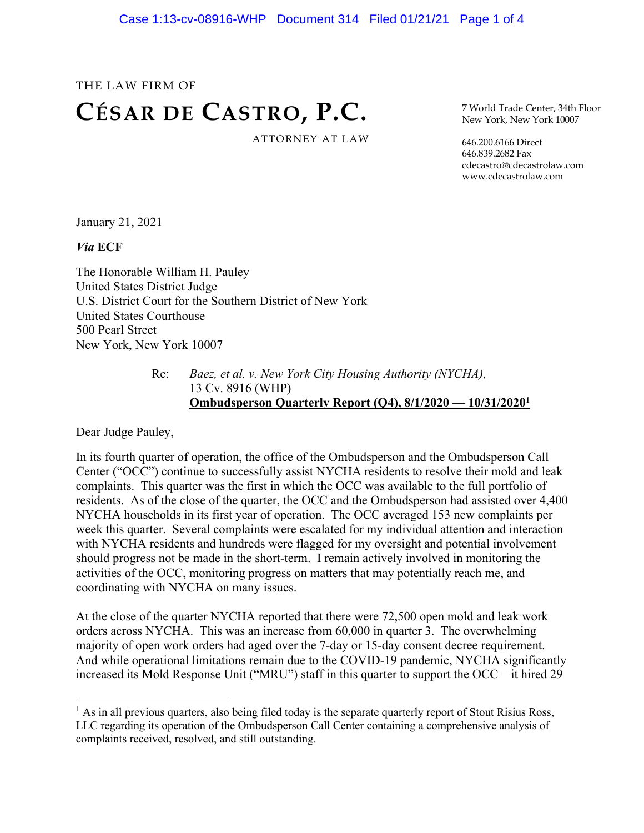# THE LAW FIRM OF **CÉSAR DE CASTRO, P.C.** ATTORNEY AT LAW

7 World Trade Center, 34th Floor New York, New York 10007

646.200.6166 Direct 646.839.2682 Fax cdecastro@cdecastrolaw.com www.cdecastrolaw.com

January 21, 2021

*Via* **ECF**

The Honorable William H. Pauley United States District Judge U.S. District Court for the Southern District of New York United States Courthouse 500 Pearl Street New York, New York 10007

> Re: *Baez, et al. v. New York City Housing Authority (NYCHA),* 13 Cv. 8916 (WHP) **Ombudsperson Quarterly Report (Q4), 8/1/2020 — 10/31/20201**

Dear Judge Pauley,

In its fourth quarter of operation, the office of the Ombudsperson and the Ombudsperson Call Center ("OCC") continue to successfully assist NYCHA residents to resolve their mold and leak complaints. This quarter was the first in which the OCC was available to the full portfolio of residents. As of the close of the quarter, the OCC and the Ombudsperson had assisted over 4,400 NYCHA households in its first year of operation. The OCC averaged 153 new complaints per week this quarter. Several complaints were escalated for my individual attention and interaction with NYCHA residents and hundreds were flagged for my oversight and potential involvement should progress not be made in the short-term. I remain actively involved in monitoring the activities of the OCC, monitoring progress on matters that may potentially reach me, and coordinating with NYCHA on many issues.

At the close of the quarter NYCHA reported that there were 72,500 open mold and leak work orders across NYCHA. This was an increase from 60,000 in quarter 3. The overwhelming majority of open work orders had aged over the 7-day or 15-day consent decree requirement. And while operational limitations remain due to the COVID-19 pandemic, NYCHA significantly increased its Mold Response Unit ("MRU") staff in this quarter to support the OCC – it hired 29

 $<sup>1</sup>$  As in all previous quarters, also being filed today is the separate quarterly report of Stout Risius Ross,</sup> LLC regarding its operation of the Ombudsperson Call Center containing a comprehensive analysis of complaints received, resolved, and still outstanding.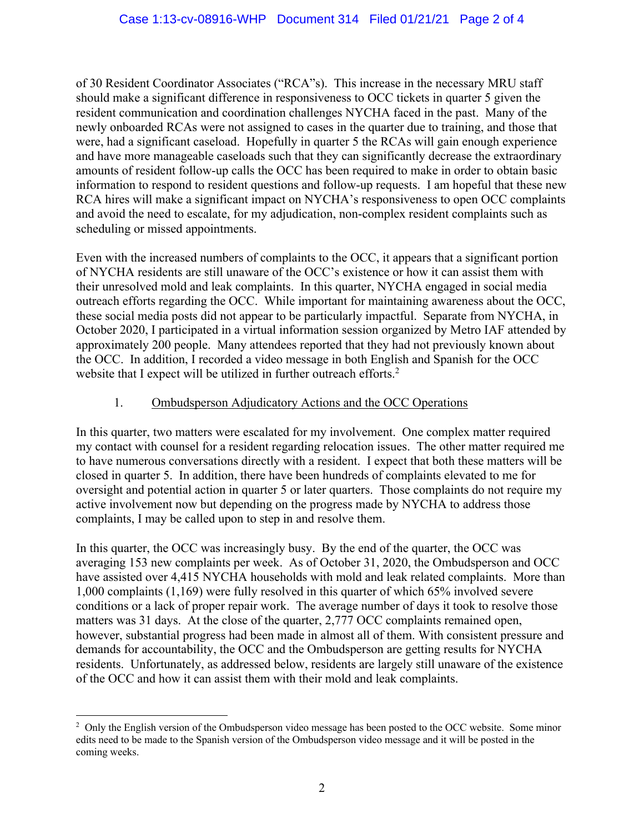of 30 Resident Coordinator Associates ("RCA"s). This increase in the necessary MRU staff should make a significant difference in responsiveness to OCC tickets in quarter 5 given the resident communication and coordination challenges NYCHA faced in the past. Many of the newly onboarded RCAs were not assigned to cases in the quarter due to training, and those that were, had a significant caseload. Hopefully in quarter 5 the RCAs will gain enough experience and have more manageable caseloads such that they can significantly decrease the extraordinary amounts of resident follow-up calls the OCC has been required to make in order to obtain basic information to respond to resident questions and follow-up requests. I am hopeful that these new RCA hires will make a significant impact on NYCHA's responsiveness to open OCC complaints and avoid the need to escalate, for my adjudication, non-complex resident complaints such as scheduling or missed appointments.

Even with the increased numbers of complaints to the OCC, it appears that a significant portion of NYCHA residents are still unaware of the OCC's existence or how it can assist them with their unresolved mold and leak complaints. In this quarter, NYCHA engaged in social media outreach efforts regarding the OCC. While important for maintaining awareness about the OCC, these social media posts did not appear to be particularly impactful. Separate from NYCHA, in October 2020, I participated in a virtual information session organized by Metro IAF attended by approximately 200 people. Many attendees reported that they had not previously known about the OCC. In addition, I recorded a video message in both English and Spanish for the OCC website that I expect will be utilized in further outreach efforts.<sup>2</sup>

#### 1. Ombudsperson Adjudicatory Actions and the OCC Operations

In this quarter, two matters were escalated for my involvement. One complex matter required my contact with counsel for a resident regarding relocation issues. The other matter required me to have numerous conversations directly with a resident. I expect that both these matters will be closed in quarter 5. In addition, there have been hundreds of complaints elevated to me for oversight and potential action in quarter 5 or later quarters. Those complaints do not require my active involvement now but depending on the progress made by NYCHA to address those complaints, I may be called upon to step in and resolve them.

In this quarter, the OCC was increasingly busy. By the end of the quarter, the OCC was averaging 153 new complaints per week. As of October 31, 2020, the Ombudsperson and OCC have assisted over 4,415 NYCHA households with mold and leak related complaints. More than 1,000 complaints (1,169) were fully resolved in this quarter of which 65% involved severe conditions or a lack of proper repair work. The average number of days it took to resolve those matters was 31 days. At the close of the quarter, 2,777 OCC complaints remained open, however, substantial progress had been made in almost all of them. With consistent pressure and demands for accountability, the OCC and the Ombudsperson are getting results for NYCHA residents. Unfortunately, as addressed below, residents are largely still unaware of the existence of the OCC and how it can assist them with their mold and leak complaints.

<sup>&</sup>lt;sup>2</sup> Only the English version of the Ombudsperson video message has been posted to the OCC website. Some minor edits need to be made to the Spanish version of the Ombudsperson video message and it will be posted in the coming weeks.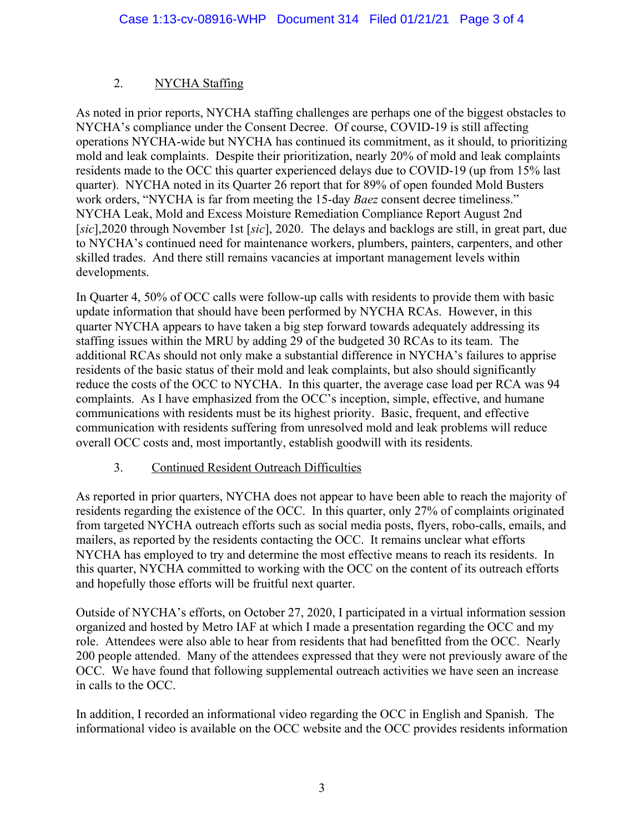# 2. NYCHA Staffing

As noted in prior reports, NYCHA staffing challenges are perhaps one of the biggest obstacles to NYCHA's compliance under the Consent Decree. Of course, COVID-19 is still affecting operations NYCHA-wide but NYCHA has continued its commitment, as it should, to prioritizing mold and leak complaints. Despite their prioritization, nearly 20% of mold and leak complaints residents made to the OCC this quarter experienced delays due to COVID-19 (up from 15% last quarter). NYCHA noted in its Quarter 26 report that for 89% of open founded Mold Busters work orders, "NYCHA is far from meeting the 15-day *Baez* consent decree timeliness." NYCHA Leak, Mold and Excess Moisture Remediation Compliance Report August 2nd [*sic*],2020 through November 1st [*sic*], 2020. The delays and backlogs are still, in great part, due to NYCHA's continued need for maintenance workers, plumbers, painters, carpenters, and other skilled trades. And there still remains vacancies at important management levels within developments.

In Quarter 4, 50% of OCC calls were follow-up calls with residents to provide them with basic update information that should have been performed by NYCHA RCAs. However, in this quarter NYCHA appears to have taken a big step forward towards adequately addressing its staffing issues within the MRU by adding 29 of the budgeted 30 RCAs to its team. The additional RCAs should not only make a substantial difference in NYCHA's failures to apprise residents of the basic status of their mold and leak complaints, but also should significantly reduce the costs of the OCC to NYCHA. In this quarter, the average case load per RCA was 94 complaints. As I have emphasized from the OCC's inception, simple, effective, and humane communications with residents must be its highest priority. Basic, frequent, and effective communication with residents suffering from unresolved mold and leak problems will reduce overall OCC costs and, most importantly, establish goodwill with its residents.

#### 3. Continued Resident Outreach Difficulties

As reported in prior quarters, NYCHA does not appear to have been able to reach the majority of residents regarding the existence of the OCC. In this quarter, only 27% of complaints originated from targeted NYCHA outreach efforts such as social media posts, flyers, robo-calls, emails, and mailers, as reported by the residents contacting the OCC. It remains unclear what efforts NYCHA has employed to try and determine the most effective means to reach its residents. In this quarter, NYCHA committed to working with the OCC on the content of its outreach efforts and hopefully those efforts will be fruitful next quarter.

Outside of NYCHA's efforts, on October 27, 2020, I participated in a virtual information session organized and hosted by Metro IAF at which I made a presentation regarding the OCC and my role. Attendees were also able to hear from residents that had benefitted from the OCC. Nearly 200 people attended. Many of the attendees expressed that they were not previously aware of the OCC. We have found that following supplemental outreach activities we have seen an increase in calls to the OCC.

In addition, I recorded an informational video regarding the OCC in English and Spanish. The informational video is available on the OCC website and the OCC provides residents information